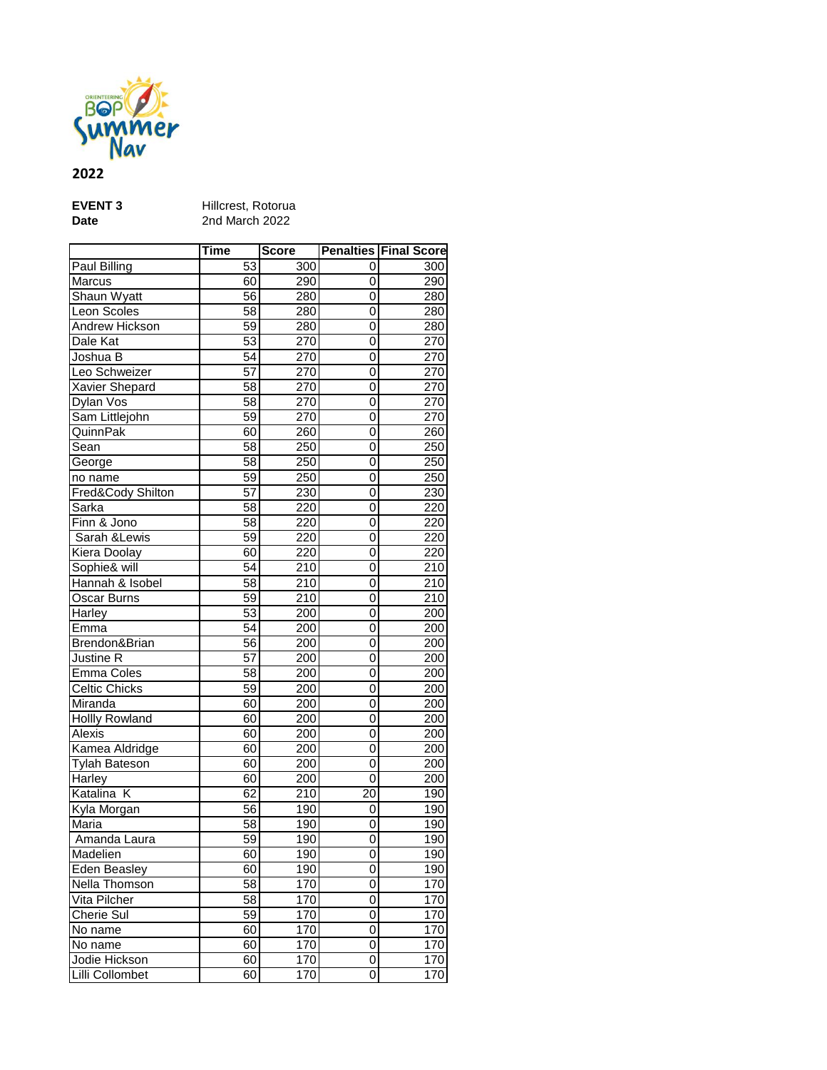

## **2022**

| <b>EVENT 3</b> |  |
|----------------|--|
| <b>Date</b>    |  |

**EVENT 3** Hillcrest, Rotorua **Date** 2nd March 2022

|                       | <b>Time</b>     | Score            |                | <b>Penalties Final Score</b> |
|-----------------------|-----------------|------------------|----------------|------------------------------|
| Paul Billing          | 53              | 300              | 0              | 300                          |
| Marcus                | 60              | 290              | 0              | 290                          |
| Shaun Wyatt           | $\overline{56}$ | 280              | 0              | 280                          |
| Leon Scoles           | 58              | 280              | 0              | 280                          |
| Andrew Hickson        | 59              | 280              | 0              | 280                          |
| Dale Kat              | 53              | 270              | 0              | 270                          |
| Joshua B              | $\overline{54}$ | 270              | 0              | 270                          |
| Leo Schweizer         | 57              | 270              | 0              | 270                          |
| <b>Xavier Shepard</b> | $\overline{58}$ | 270              | 0              | $\overline{270}$             |
| Dylan Vos             | 58              | 270              | 0              | 270                          |
| Sam Littlejohn        | $\overline{59}$ | 270              | 0              | 270                          |
| QuinnPak              | 60              | 260              | 0              | 260                          |
| Sean                  | $\overline{58}$ | 250              | 0              | $\overline{250}$             |
| George                | 58              | 250              | 0              | 250                          |
| no name               | 59              | 250              | 0              | 250                          |
| Fred&Cody Shilton     | 57              | $\overline{230}$ | 0              | $\overline{230}$             |
| Sarka                 | $\overline{58}$ | 220              | 0              | 220                          |
| Finn & Jono           | 58              | 220              | 0              | 220                          |
| Sarah & Lewis         | 59              | 220              | 0              | 220                          |
| Kiera Doolay          | 60              | $\overline{220}$ | $\overline{0}$ | $\overline{220}$             |
| Sophie& will          | 54              | $\overline{210}$ | 0              | 210                          |
| Hannah & Isobel       | 58              | $\overline{210}$ | 0              | 210                          |
| Oscar Burns           | 59              | $\overline{210}$ | 0              | 210                          |
| Harley                | 53              | 200              | 0              | 200                          |
| Emma                  | 54              | 200              | 0              | 200                          |
| Brendon&Brian         | 56              | 200              | 0              | 200                          |
| Justine R             | 57              | 200              | $\mathbf 0$    | 200                          |
| <b>Emma Coles</b>     | 58              | 200              | 0              | 200                          |
| <b>Celtic Chicks</b>  | 59              | 200              | 0              | 200                          |
| Miranda               | 60              | 200              | 0              | 200                          |
| <b>Hollly Rowland</b> | 60              | 200              | 0              | 200                          |
| Alexis                | 60              | 200              | 0              | 200                          |
| Kamea Aldridge        | 60              | 200              | 0              | 200                          |
| Tylah Bateson         | 60              | 200              | 0              | 200                          |
| Harley                | 60              | 200              | $\overline{0}$ | 200                          |
| Katalina K            | 62              | 210              | 20             | 190                          |
| Kyla Morgan           | 56              | 190              | 0              | 190                          |
| Maria                 | $\overline{58}$ | 190              | 0              | 190                          |
| Amanda Laura          | $\overline{59}$ | 190              | 0              | 190                          |
| Madelien              | 60              | 190              | 0              | 190                          |
| Eden Beasley          | 60              | 190              | 0              | 190                          |
| Nella Thomson         | 58              | 170              | 0              | 170                          |
| Vita Pilcher          | 58              | 170              | 0              | 170                          |
| Cherie Sul            | 59              | 170              | 0              | 170                          |
| No name               | 60              | 170              | 0              | 170                          |
| No name               | 60              | 170              | 0              | 170                          |
| Jodie Hickson         | 60              | 170              | 0              | 170                          |
| Lilli Collombet       | 60              | 170              | 0              | 170                          |